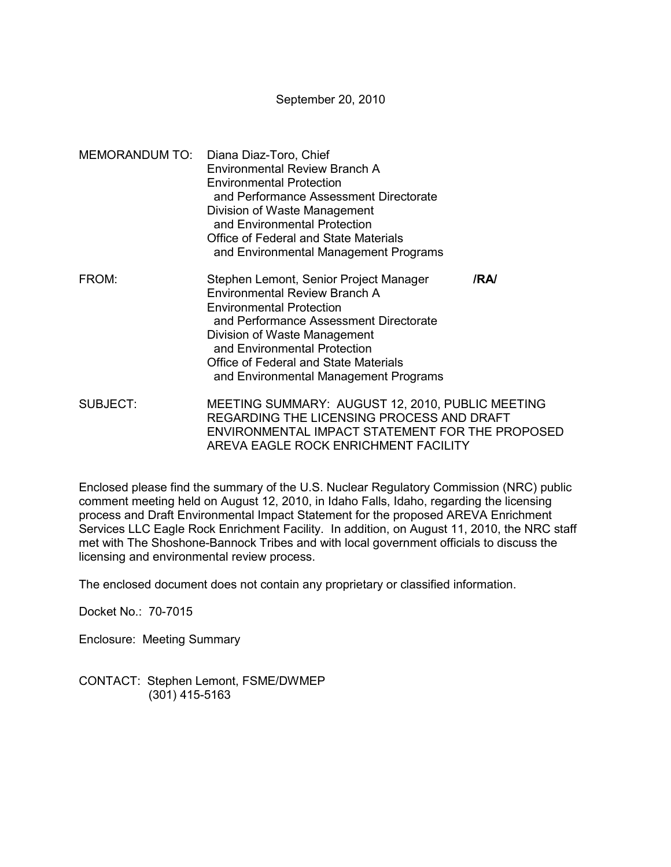September 20, 2010

- MEMORANDUM TO: Diana Diaz-Toro, Chief Environmental Review Branch A Environmental Protection and Performance Assessment Directorate Division of Waste Management and Environmental Protection Office of Federal and State Materials and Environmental Management Programs FROM: Stephen Lemont, Senior Project Manager **/RA/**  Environmental Review Branch A Environmental Protection and Performance Assessment Directorate Division of Waste Management and Environmental Protection
- Office of Federal and State Materials and Environmental Management Programs SUBJECT: MEETING SUMMARY: AUGUST 12, 2010, PUBLIC MEETING
- REGARDING THE LICENSING PROCESS AND DRAFT ENVIRONMENTAL IMPACT STATEMENT FOR THE PROPOSED AREVA EAGLE ROCK ENRICHMENT FACILITY

Enclosed please find the summary of the U.S. Nuclear Regulatory Commission (NRC) public comment meeting held on August 12, 2010, in Idaho Falls, Idaho, regarding the licensing process and Draft Environmental Impact Statement for the proposed AREVA Enrichment Services LLC Eagle Rock Enrichment Facility. In addition, on August 11, 2010, the NRC staff met with The Shoshone-Bannock Tribes and with local government officials to discuss the licensing and environmental review process.

The enclosed document does not contain any proprietary or classified information.

Docket No.: 70-7015

Enclosure: Meeting Summary

CONTACT: Stephen Lemont, FSME/DWMEP (301) 415-5163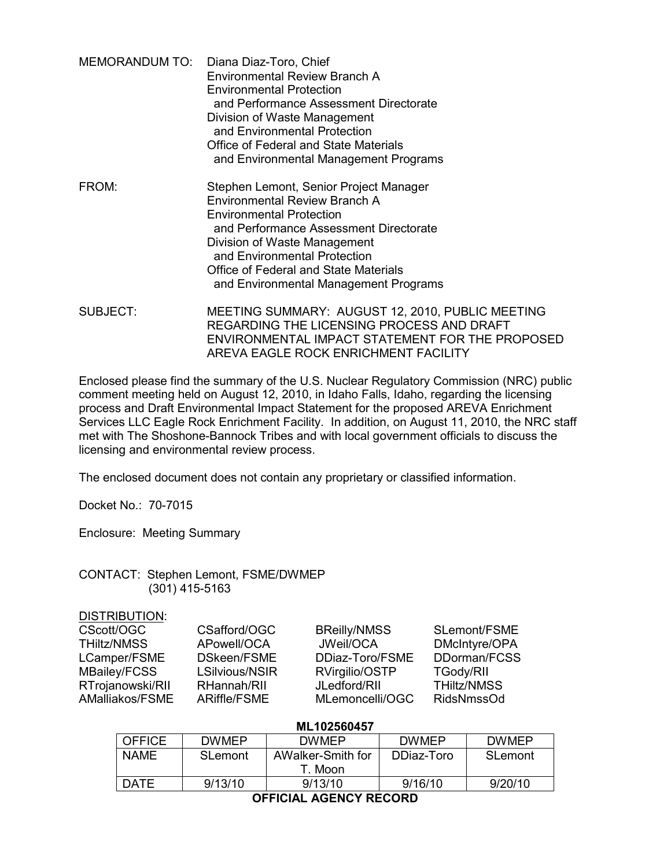| MEMORANDUM TO: | Diana Diaz-Toro, Chief<br><b>Environmental Review Branch A</b><br><b>Environmental Protection</b><br>and Performance Assessment Directorate<br>Division of Waste Management<br>and Environmental Protection<br>Office of Federal and State Materials<br>and Environmental Management Programs |  |
|----------------|-----------------------------------------------------------------------------------------------------------------------------------------------------------------------------------------------------------------------------------------------------------------------------------------------|--|
| FROM:          | Stephen Lemont, Senior Project Manager<br><b>Environmental Review Branch A</b><br><b>Environmental Protection</b>                                                                                                                                                                             |  |

 and Performance Assessment Directorate Division of Waste Management and Environmental Protection Office of Federal and State Materials and Environmental Management Programs

SUBJECT: MEETING SUMMARY: AUGUST 12, 2010, PUBLIC MEETING REGARDING THE LICENSING PROCESS AND DRAFT ENVIRONMENTAL IMPACT STATEMENT FOR THE PROPOSED AREVA EAGLE ROCK ENRICHMENT FACILITY

Enclosed please find the summary of the U.S. Nuclear Regulatory Commission (NRC) public comment meeting held on August 12, 2010, in Idaho Falls, Idaho, regarding the licensing process and Draft Environmental Impact Statement for the proposed AREVA Enrichment Services LLC Eagle Rock Enrichment Facility. In addition, on August 11, 2010, the NRC staff met with The Shoshone-Bannock Tribes and with local government officials to discuss the licensing and environmental review process.

The enclosed document does not contain any proprietary or classified information.

Docket No.: 70-7015

Enclosure: Meeting Summary

CONTACT: Stephen Lemont, FSME/DWMEP (301) 415-5163

| <b>DISTRIBUTION:</b> |                |                     |                    |
|----------------------|----------------|---------------------|--------------------|
| CScott/OGC           | CSafford/OGC   | <b>BReilly/NMSS</b> | SLemont/FSME       |
| <b>THiltz/NMSS</b>   | APowell/OCA    | JWeil/OCA           | DMcIntyre/OPA      |
| LCamper/FSME         | DSkeen/FSME    | DDiaz-Toro/FSME     | DDorman/FCSS       |
| MBailey/FCSS         | LSilvious/NSIR | RVirgilio/OSTP      | <b>TGody/RII</b>   |
| RTrojanowski/RII     | RHannah/RII    | JLedford/RII        | <b>THiltz/NMSS</b> |
| AMalliakos/FSME      | ARiffle/FSME   | MLemoncelli/OGC     | <b>RidsNmssOd</b>  |

| ML102560457                   |              |                   |              |              |  |  |
|-------------------------------|--------------|-------------------|--------------|--------------|--|--|
| <b>OFFICE</b>                 | <b>DWMEP</b> | <b>DWMFP</b>      | <b>DWMEP</b> | <b>DWMFP</b> |  |  |
| NAME                          | SLemont      | AWalker-Smith for | DDiaz-Toro   | SLemont      |  |  |
|                               |              | T. Moon           |              |              |  |  |
| <b>DATE</b>                   | 9/13/10      | 9/13/10           | 9/16/10      | 9/20/10      |  |  |
| <b>OFFICIAL AGENCY RECORD</b> |              |                   |              |              |  |  |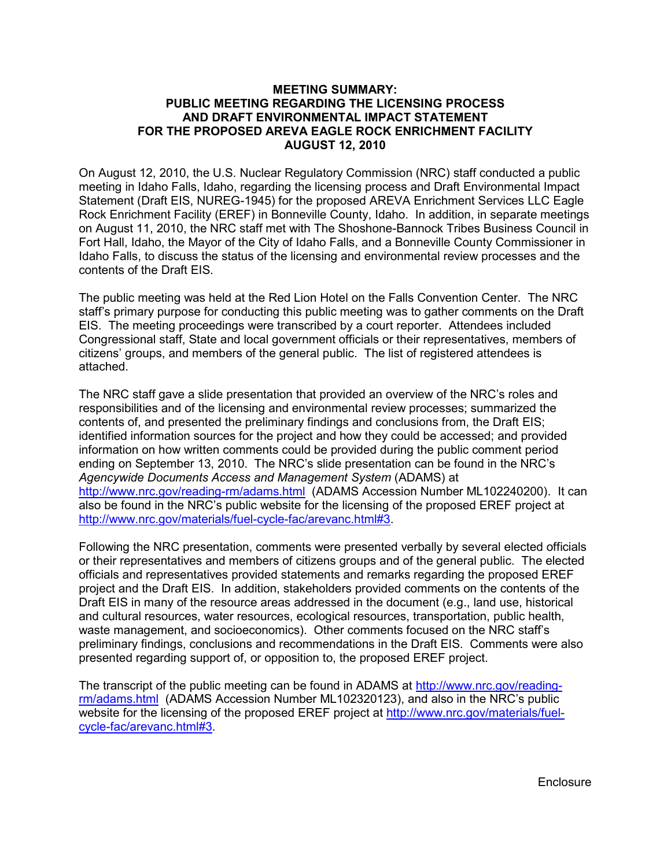## **MEETING SUMMARY: PUBLIC MEETING REGARDING THE LICENSING PROCESS AND DRAFT ENVIRONMENTAL IMPACT STATEMENT FOR THE PROPOSED AREVA EAGLE ROCK ENRICHMENT FACILITY AUGUST 12, 2010**

On August 12, 2010, the U.S. Nuclear Regulatory Commission (NRC) staff conducted a public meeting in Idaho Falls, Idaho, regarding the licensing process and Draft Environmental Impact Statement (Draft EIS, NUREG-1945) for the proposed AREVA Enrichment Services LLC Eagle Rock Enrichment Facility (EREF) in Bonneville County, Idaho. In addition, in separate meetings on August 11, 2010, the NRC staff met with The Shoshone-Bannock Tribes Business Council in Fort Hall, Idaho, the Mayor of the City of Idaho Falls, and a Bonneville County Commissioner in Idaho Falls, to discuss the status of the licensing and environmental review processes and the contents of the Draft EIS.

The public meeting was held at the Red Lion Hotel on the Falls Convention Center. The NRC staff's primary purpose for conducting this public meeting was to gather comments on the Draft EIS. The meeting proceedings were transcribed by a court reporter.Attendees included Congressional staff, State and local government officials or their representatives, members of citizens' groups, and members of the general public. The list of registered attendees is attached.

The NRC staff gave a slide presentation that provided an overview of the NRC's roles and responsibilities and of the licensing and environmental review processes; summarized the contents of, and presented the preliminary findings and conclusions from, the Draft EIS; identified information sources for the project and how they could be accessed; and provided information on how written comments could be provided during the public comment period ending on September 13, 2010. The NRC's slide presentation can be found in the NRC's *Agencywide Documents Access and Management System* (ADAMS) at http://www.nrc.gov/reading-rm/adams.html(ADAMS Accession Number ML102240200). It can also be found in the NRC's public website for the licensing of the proposed EREF project at http://www.nrc.gov/materials/fuel-cycle-fac/arevanc.html#3.

Following the NRC presentation, comments were presented verbally by several elected officials or their representatives and members of citizens groups and of the general public. The elected officials and representatives provided statements and remarks regarding the proposed EREF project and the Draft EIS. In addition, stakeholders provided comments on the contents of the Draft EIS in many of the resource areas addressed in the document (e.g., land use, historical and cultural resources, water resources, ecological resources, transportation, public health, waste management, and socioeconomics). Other comments focused on the NRC staff's preliminary findings, conclusions and recommendations in the Draft EIS. Comments were also presented regarding support of, or opposition to, the proposed EREF project.

The transcript of the public meeting can be found in ADAMS at http://www.nrc.gov/readingrm/adams.html(ADAMS Accession Number ML102320123), and also in the NRC's public website for the licensing of the proposed EREF project at http://www.nrc.gov/materials/fuelcycle-fac/arevanc.html#3.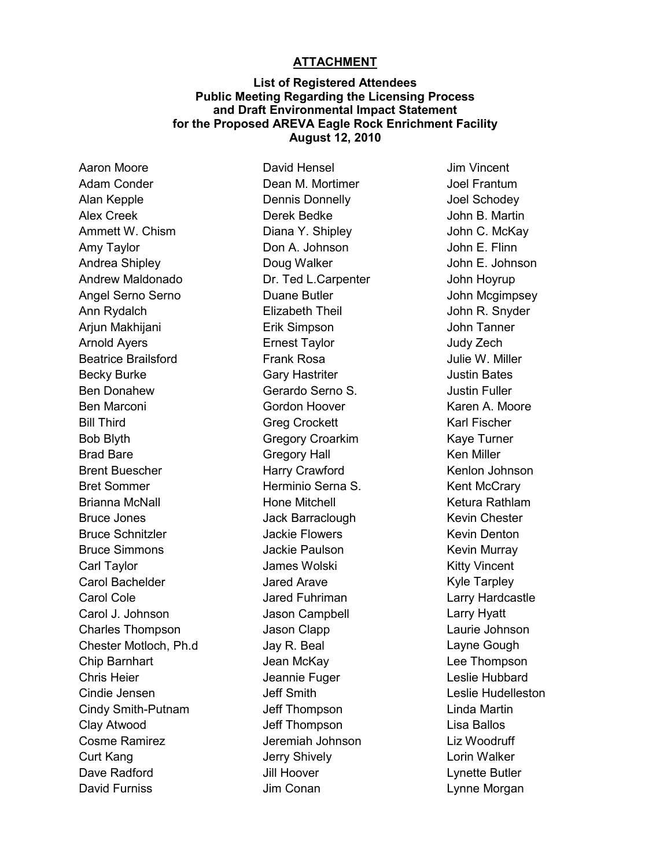## **ATTACHMENT**

## **List of Registered Attendees Public Meeting Regarding the Licensing Process and Draft Environmental Impact Statement for the Proposed AREVA Eagle Rock Enrichment Facility August 12, 2010**

Aaron Moore Adam Conder Alan Kepple Alex Creek Ammett W. Chism Amy Taylor Andrea Shipley Andrew Maldonado Angel Serno Serno Ann Rydalch Arjun Makhijani Arnold Ayers Beatrice Brailsford Becky Burke Ben Donahew Ben Marconi Bill Third Bob Blyth Brad Bare Brent Buescher Bret Sommer Brianna McNall Bruce Jones Bruce Schnitzler Bruce Simmons Carl Taylor Carol Bachelder Carol Cole Carol J. Johnson Charles Thompson Chester Motloch, Ph.d Chip Barnhart Chris Heier Cindie Jensen Cindy Smith-Putnam Clay Atwood Cosme Ramirez Curt Kang Dave Radford David Furniss

David Hensel Dean M. Mortimer Dennis Donnelly Derek Bedke Diana Y. Shipley Don A. Johnson Doug Walker Dr. Ted L.Carpenter Duane Butler Elizabeth Theil Erik Simpson Ernest Taylor Frank Rosa Gary Hastriter Gerardo Serno S. Gordon Hoover Greg Crockett Gregory Croarkim Gregory Hall Harry Crawford Herminio Serna S. Hone Mitchell Jack Barraclough Jackie Flowers Jackie Paulson James Wolski Jared Arave Jared Fuhriman Jason Campbell Jason Clapp Jay R. Beal Jean McKay Jeannie Fuger Jeff Smith Jeff Thompson Jeff Thompson Jeremiah Johnson Jerry Shively Jill Hoover Jim Conan

Jim Vincent Joel Frantum Joel Schodey John B. Martin John C. McKay John E. Flinn John E. Johnson John Hoyrup John Mcgimpsey John R. Snyder John Tanner Judy Zech Julie W. Miller Justin Bates Justin Fuller Karen A. Moore Karl Fischer Kaye Turner Ken Miller Kenlon Johnson Kent McCrary Ketura Rathlam Kevin Chester Kevin Denton Kevin Murray Kitty Vincent Kyle Tarpley Larry Hardcastle Larry Hyatt Laurie Johnson Layne Gough Lee Thompson Leslie Hubbard Leslie Hudelleston Linda Martin Lisa Ballos Liz Woodruff Lorin Walker Lynette Butler Lynne Morgan